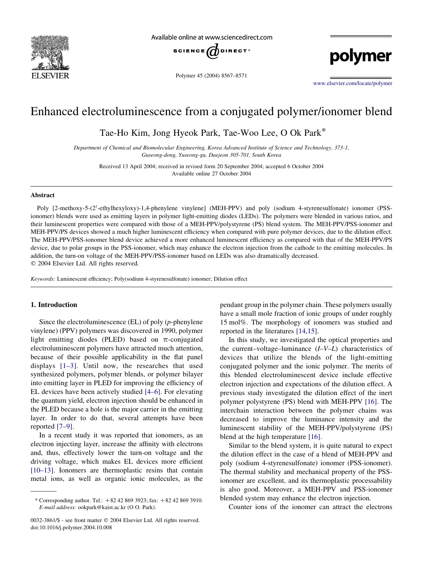

Available online at www.sciencedirect.com



Polymer 45 (2004) 8567–8571

polymer

[www.elsevier.com/locate/polymer](http://www.elsevier.com/locate/polymer)

# Enhanced electroluminescence from a conjugated polymer/ionomer blend

Tae-Ho Kim, Jong Hyeok Park, Tae-Woo Lee, O Ok Park\*

Department of Chemical and Biomolecular Engineering, Korea Advanced Institute of Science and Technology, 373-1, Guseong-dong, Yuseong-gu, Daejeon 305-701, South Korea

Received 13 April 2004; received in revised form 20 September 2004; accepted 6 October 2004 Available online 27 October 2004

#### Abstract

Poly [2-methoxy-5-(2'-ethylhexyloxy)-1,4-phenylene vinylene] (MEH-PPV) and poly (sodium 4-styrenesulfonate) ionomer (PSSionomer) blends were used as emitting layers in polymer light-emitting diodes (LEDs). The polymers were blended in various ratios, and their luminescent properties were compared with those of a MEH-PPV/polystyrene (PS) blend system. The MEH-PPV/PSS-ionomer and MEH-PPV/PS devices showed a much higher luminescent efficiency when compared with pure polymer devices, due to the dilution effect. The MEH-PPV/PSS-ionomer blend device achieved a more enhanced luminescent efficiency as compared with that of the MEH-PPV/PS device, due to polar groups in the PSS-ionomer, which may enhance the electron injection from the cathode to the emitting molecules. In addition, the turn-on voltage of the MEH-PPV/PSS-ionomer based on LEDs was also dramatically decreased.  $© 2004 Elsevier Ltd. All rights reserved.$ 

Keywords: Luminescent efficiency; Poly(sodium 4-styrenesulfonate) ionomer; Dilution effect

### 1. Introduction

Since the electroluminescence (EL) of poly (p-phenylene vinylene) (PPV) polymers was discovered in 1990, polymer light emitting diodes (PLED) based on  $\pi$ -conjugated electroluminescent polymers have attracted much attention, because of their possible applicability in the flat panel displays [\[1–3\]](#page-4-0). Until now, the researches that used synthesized polymers, polymer blends, or polymer bilayer into emitting layer in PLED for improving the efficiency of EL devices have been actively studied [\[4–6\].](#page-4-0) For elevating the quantum yield, electron injection should be enhanced in the PLED because a hole is the major carrier in the emitting layer. In order to do that, several attempts have been reported [\[7–9\].](#page-4-0)

In a recent study it was reported that ionomers, as an electron injecting layer, increase the affinity with electrons and, thus, effectively lower the turn-on voltage and the driving voltage, which makes EL devices more efficient [\[10–13\]](#page-4-0). Ionomers are thermoplastic resins that contain metal ions, as well as organic ionic molecules, as the

pendant group in the polymer chain. These polymers usually have a small mole fraction of ionic groups of under roughly 15 mol%. The morphology of ionomers was studied and reported in the literatures [\[14,15\]](#page-4-0).

In this study, we investigated the optical properties and the current–voltage–luminance  $(I-V-L)$  characteristics of devices that utilize the blends of the light-emitting conjugated polymer and the ionic polymer. The merits of this blended electroluminescent device include effective electron injection and expectations of the dilution effect. A previous study investigated the dilution effect of the inert polymer polystyrene (PS) blend with MEH-PPV [\[16\]](#page-4-0). The interchain interaction between the polymer chains was decreased to improve the luminance intensity and the luminescent stability of the MEH-PPV/polystyrene (PS) blend at the high temperature [\[16\].](#page-4-0)

Similar to the blend system, it is quite natural to expect the dilution effect in the case of a blend of MEH-PPV and poly (sodium 4-styrenesulfonate) ionomer (PSS-ionomer). The thermal stability and mechanical property of the PSSionomer are excellent, and its thermoplastic processability is also good. Moreover, a MEH-PPV and PSS-ionomer blended system may enhance the electron injection.

Counter ions of the ionomer can attract the electrons

<sup>\*</sup> Corresponding author. Tel.:  $+82 42 869 3923$ ; fax:  $+82 42 869 3910$ . E-mail address: ookpark@kaist.ac.kr (O O. Park).

<sup>0032-3861/\$ -</sup> see front matter © 2004 Elsevier Ltd. All rights reserved. doi:10.1016/j.polymer.2004.10.008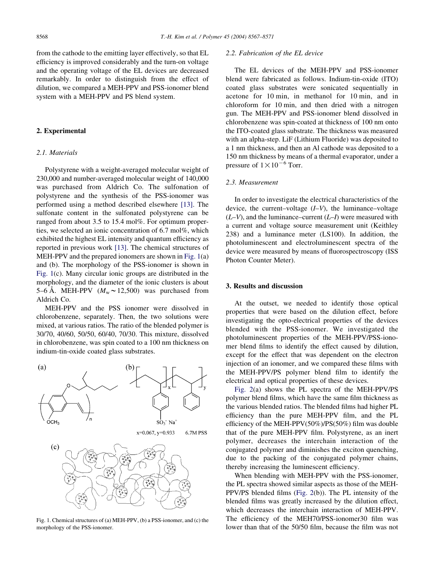from the cathode to the emitting layer effectively, so that EL efficiency is improved considerably and the turn-on voltage and the operating voltage of the EL devices are decreased remarkably. In order to distinguish from the effect of dilution, we compared a MEH-PPV and PSS-ionomer blend system with a MEH-PPV and PS blend system.

#### 2. Experimental

### 2.1. Materials

Polystyrene with a weight-averaged molecular weight of 230,000 and number-averaged molecular weight of 140,000 was purchased from Aldrich Co. The sulfonation of polystyrene and the synthesis of the PSS-ionomer was performed using a method described elsewhere [\[13\].](#page-4-0) The sulfonate content in the sulfonated polystyrene can be ranged from about 3.5 to 15.4 mol%. For optimum properties, we selected an ionic concentration of 6.7 mol%, which exhibited the highest EL intensity and quantum efficiency as reported in previous work [\[13\].](#page-4-0) The chemical structures of MEH-PPV and the prepared ionomers are shown in Fig. 1(a) and (b). The morphology of the PSS-ionomer is shown in Fig. 1(c). Many circular ionic groups are distributed in the morphology, and the diameter of the ionic clusters is about 5–6 Å. MEH-PPV  $(M_w \sim 12,500)$  was purchased from Aldrich Co.

MEH-PPV and the PSS ionomer were dissolved in chlorobenzene, separately. Then, the two solutions were mixed, at various ratios. The ratio of the blended polymer is 30/70, 40/60, 50/50, 60/40, 70/30. This mixture, dissolved in chlorobenzene, was spin coated to a 100 nm thickness on indium-tin-oxide coated glass substrates.



Fig. 1. Chemical structures of (a) MEH-PPV, (b) a PSS-ionomer, and (c) the morphology of the PSS-ionomer.

## 2.2. Fabrication of the EL device

The EL devices of the MEH-PPV and PSS-ionomer blend were fabricated as follows. Indium-tin-oxide (ITO) coated glass substrates were sonicated sequentially in acetone for 10 min, in methanol for 10 min, and in chloroform for 10 min, and then dried with a nitrogen gun. The MEH-PPV and PSS-ionomer blend dissolved in chlorobenzene was spin-coated at thickness of 100 nm onto the ITO-coated glass substrate. The thickness was measured with an alpha-step. LiF (Lithium Fluoride) was deposited to a 1 nm thickness, and then an Al cathode was deposited to a 150 nm thickness by means of a thermal evaporator, under a pressure of  $1 \times 10^{-6}$  Torr.

#### 2.3. Measurement

In order to investigate the electrical characteristics of the device, the current–voltage  $(I-V)$ , the luminance–voltage  $(L-V)$ , and the luminance–current  $(L-I)$  were measured with a current and voltage source measurement unit (Keithley 238) and a luminance meter (LS100). In addition, the photoluminescent and electroluminescent spectra of the device were measured by means of fluorospectroscopy (ISS Photon Counter Meter).

#### 3. Results and discussion

At the outset, we needed to identify those optical properties that were based on the dilution effect, before investigating the opto-electrical properties of the devices blended with the PSS-ionomer. We investigated the photoluminescent properties of the MEH-PPV/PSS-ionomer blend films to identify the effect caused by dilution, except for the effect that was dependent on the electron injection of an ionomer, and we compared these films with the MEH-PPV/PS polymer blend film to identify the electrical and optical properties of these devices.

[Fig. 2](#page-2-0)(a) shows the PL spectra of the MEH-PPV/PS polymer blend films, which have the same film thickness as the various blended ratios. The blended films had higher PL efficiency than the pure MEH-PPV film, and the PL efficiency of the MEH-PPV(50%)/PS(50%) film was double that of the pure MEH-PPV film. Polystyrene, as an inert polymer, decreases the interchain interaction of the conjugated polymer and diminishes the exciton quenching, due to the packing of the conjugated polymer chains, thereby increasing the luminescent efficiency.

When blending with MEH-PPV with the PSS-ionomer, the PL spectra showed similar aspects as those of the MEH-PPV/PS blended films [\(Fig. 2](#page-2-0)(b)). The PL intensity of the blended films was greatly increased by the dilution effect, which decreases the interchain interaction of MEH-PPV. The efficiency of the MEH70/PSS-ionomer30 film was lower than that of the 50/50 film, because the film was not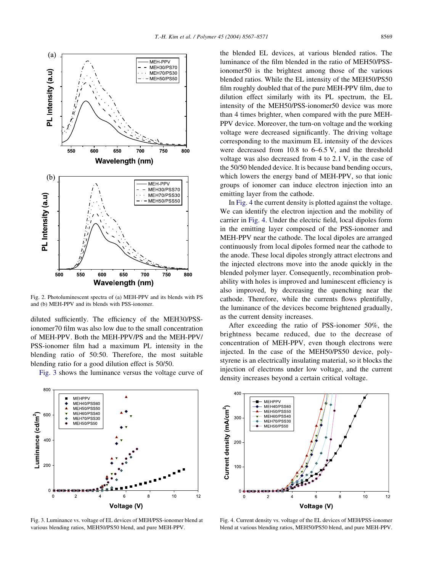<span id="page-2-0"></span>

Fig. 2. Photoluminescent spectra of (a) MEH-PPV and its blends with PS and (b) MEH-PPV and its blends with PSS-ionomer.

diluted sufficiently. The efficiency of the MEH30/PSSionomer70 film was also low due to the small concentration of MEH-PPV. Both the MEH-PPV/PS and the MEH-PPV/ PSS-ionomer film had a maximum PL intensity in the blending ratio of 50:50. Therefore, the most suitable blending ratio for a good dilution effect is 50/50.

Fig. 3 shows the luminance versus the voltage curve of

the blended EL devices, at various blended ratios. The luminance of the film blended in the ratio of MEH50/PSSionomer50 is the brightest among those of the various blended ratios. While the EL intensity of the MEH50/PS50 film roughly doubled that of the pure MEH-PPV film, due to dilution effect similarly with its PL spectrum, the EL intensity of the MEH50/PSS-ionomer50 device was more than 4 times brighter, when compared with the pure MEH-PPV device. Moreover, the turn-on voltage and the working voltage were decreased significantly. The driving voltage corresponding to the maximum EL intensity of the devices were decreased from 10.8 to 6–6.5 V, and the threshold voltage was also decreased from 4 to 2.1 V, in the case of the 50/50 blended device. It is because band bending occurs, which lowers the energy band of MEH-PPV, so that ionic groups of ionomer can induce electron injection into an emitting layer from the cathode.

In Fig. 4 the current density is plotted against the voltage. We can identify the electron injection and the mobility of carrier in Fig. 4. Under the electric field, local dipoles form in the emitting layer composed of the PSS-ionomer and MEH-PPV near the cathode. The local dipoles are arranged continuously from local dipoles formed near the cathode to the anode. These local dipoles strongly attract electrons and the injected electrons move into the anode quickly in the blended polymer layer. Consequently, recombination probability with holes is improved and luminescent efficiency is also improved, by decreasing the quenching near the cathode. Therefore, while the currents flows plentifully, the luminance of the devices become brightened gradually, as the current density increases.

After exceeding the ratio of PSS-ionomer 50%, the brightness became reduced, due to the decrease of concentration of MEH-PPV, even though electrons were injected. In the case of the MEH50/PS50 device, polystyrene is an electrically insulating material, so it blocks the injection of electrons under low voltage, and the current density increases beyond a certain critical voltage.



Fig. 3. Luminance vs. voltage of EL devices of MEH/PSS-ionomer blend at various blending ratios, MEH50/PS50 blend, and pure MEH-PPV.



Fig. 4. Current density vs. voltage of the EL devices of MEH/PSS-ionomer blend at various blending ratios, MEH50/PS50 blend, and pure MEH-PPV.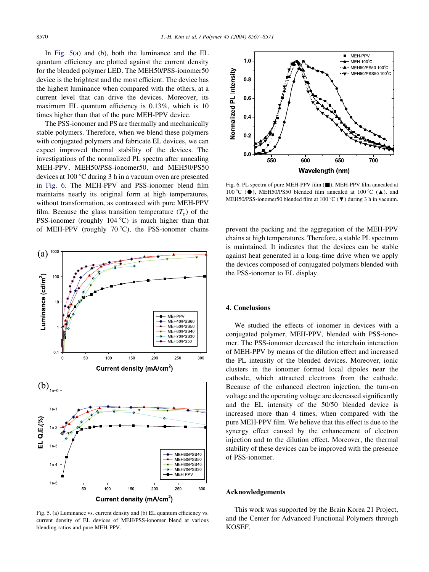In Fig. 5(a) and (b), both the luminance and the EL quantum efficiency are plotted against the current density for the blended polymer LED. The MEH50/PSS-ionomer50 device is the brightest and the most efficient. The device has the highest luminance when compared with the others, at a current level that can drive the devices. Moreover, its maximum EL quantum efficiency is 0.13%, which is 10 times higher than that of the pure MEH-PPV device.

The PSS-ionomer and PS are thermally and mechanically stable polymers. Therefore, when we blend these polymers with conjugated polymers and fabricate EL devices, we can expect improved thermal stability of the devices. The investigations of the normalized PL spectra after annealing MEH-PPV, MEH50/PSS-ionomer50, and MEH50/PS50 devices at  $100^{\circ}$ C during 3 h in a vacuum oven are presented in Fig. 6. The MEH-PPV and PSS-ionomer blend film maintains nearly its original form at high temperatures, without transformation, as contrasted with pure MEH-PPV film. Because the glass transition temperature  $(T_g)$  of the PSS-ionomer (roughly  $104^{\circ}$ C) is much higher than that of MEH-PPV (roughly 70 °C), the PSS-ionomer chains prevent the packing and the aggregation of the MEH-PPV



Fig. 5. (a) Luminance vs. current density and (b) EL quantum efficiency vs. current density of EL devices of MEH/PSS-ionomer blend at various blending ratios and pure MEH-PPV.



Fig. 6. PL spectra of pure MEH-PPV film (*&*), MEH-PPV film annealed at 100 °C ( $\bullet$ ), MEH50/PS50 blended film annealed at 100 °C ( $\blacktriangle$ ), and MEH50/PSS-ionomer50 blended film at 100 °C ( $\nabla$ ) during 3 h in vacuum.

chains at high temperatures. Therefore, a stable PL spectrum is maintained. It indicates that the devices can be stable against heat generated in a long-time drive when we apply the devices composed of conjugated polymers blended with the PSS-ionomer to EL display.

#### 4. Conclusions

We studied the effects of ionomer in devices with a conjugated polymer, MEH-PPV, blended with PSS-ionomer. The PSS-ionomer decreased the interchain interaction of MEH-PPV by means of the dilution effect and increased the PL intensity of the blended devices. Moreover, ionic clusters in the ionomer formed local dipoles near the cathode, which attracted electrons from the cathode. Because of the enhanced electron injection, the turn-on voltage and the operating voltage are decreased significantly and the EL intensity of the 50/50 blended device is increased more than 4 times, when compared with the pure MEH-PPV film. We believe that this effect is due to the synergy effect caused by the enhancement of electron injection and to the dilution effect. Moreover, the thermal stability of these devices can be improved with the presence of PSS-ionomer.

## Acknowledgements

This work was supported by the Brain Korea 21 Project, and the Center for Advanced Functional Polymers through KOSEF.